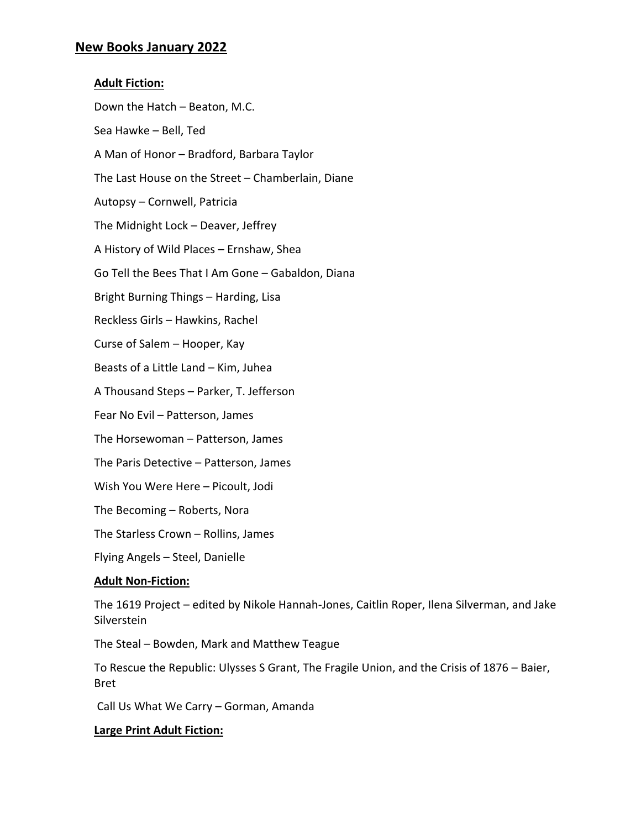## **New Books January 2022**

# **Adult Fiction:** Down the Hatch – Beaton, M.C. Sea Hawke – Bell, Ted A Man of Honor – Bradford, Barbara Taylor The Last House on the Street – Chamberlain, Diane Autopsy – Cornwell, Patricia The Midnight Lock – Deaver, Jeffrey A History of Wild Places – Ernshaw, Shea Go Tell the Bees That I Am Gone – Gabaldon, Diana Bright Burning Things – Harding, Lisa Reckless Girls – Hawkins, Rachel Curse of Salem – Hooper, Kay Beasts of a Little Land – Kim, Juhea A Thousand Steps – Parker, T. Jefferson Fear No Evil – Patterson, James The Horsewoman – Patterson, James The Paris Detective – Patterson, James Wish You Were Here – Picoult, Jodi The Becoming – Roberts, Nora The Starless Crown – Rollins, James

Flying Angels – Steel, Danielle

## **Adult Non-Fiction:**

The 1619 Project – edited by Nikole Hannah-Jones, Caitlin Roper, Ilena Silverman, and Jake Silverstein

The Steal – Bowden, Mark and Matthew Teague

To Rescue the Republic: Ulysses S Grant, The Fragile Union, and the Crisis of 1876 – Baier, Bret

Call Us What We Carry – Gorman, Amanda

## **Large Print Adult Fiction:**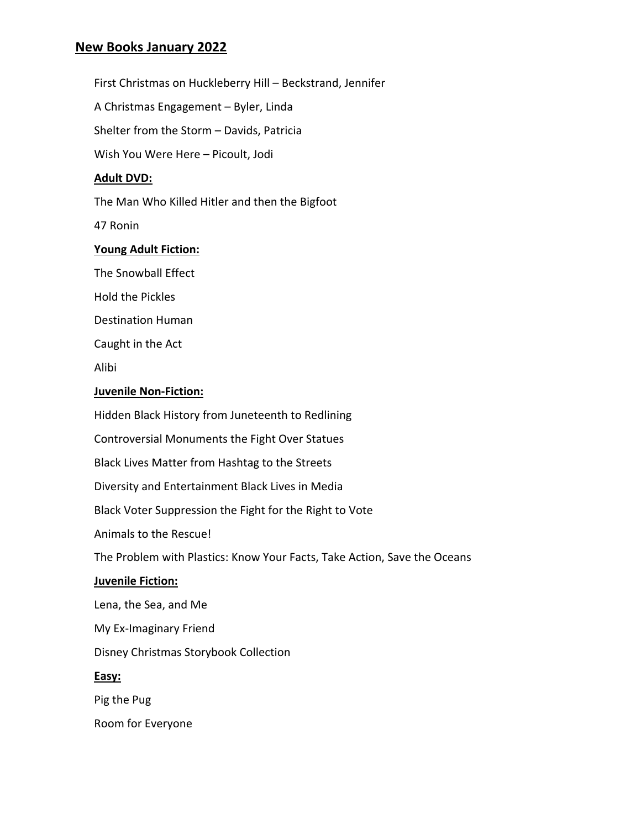# **New Books January 2022**

First Christmas on Huckleberry Hill – Beckstrand, Jennifer

A Christmas Engagement – Byler, Linda

Shelter from the Storm – Davids, Patricia

Wish You Were Here – Picoult, Jodi

#### **Adult DVD:**

The Man Who Killed Hitler and then the Bigfoot

47 Ronin

#### **Young Adult Fiction:**

The Snowball Effect

Hold the Pickles

Destination Human

Caught in the Act

Alibi

#### **Juvenile Non-Fiction:**

Hidden Black History from Juneteenth to Redlining

Controversial Monuments the Fight Over Statues

Black Lives Matter from Hashtag to the Streets

Diversity and Entertainment Black Lives in Media

Black Voter Suppression the Fight for the Right to Vote

Animals to the Rescue!

The Problem with Plastics: Know Your Facts, Take Action, Save the Oceans

#### **Juvenile Fiction:**

Lena, the Sea, and Me

My Ex-Imaginary Friend

Disney Christmas Storybook Collection

#### **Easy:**

Pig the Pug

Room for Everyone